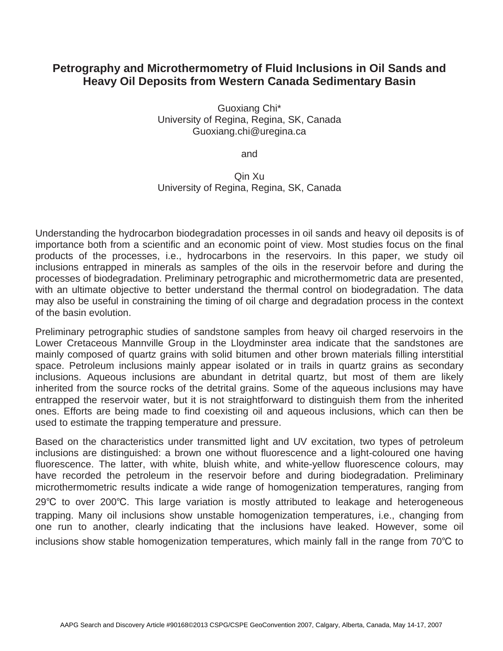## **Petrography and Microthermometry of Fluid Inclusions in Oil Sands and Heavy Oil Deposits from Western Canada Sedimentary Basin**

Guoxiang Chi\* University of Regina, Regina, SK, Canada Guoxiang.chi@uregina.ca

and

## Qin Xu University of Regina, Regina, SK, Canada

Understanding the hydrocarbon biodegradation processes in oil sands and heavy oil deposits is of importance both from a scientific and an economic point of view. Most studies focus on the final products of the processes, i.e., hydrocarbons in the reservoirs. In this paper, we study oil inclusions entrapped in minerals as samples of the oils in the reservoir before and during the processes of biodegradation. Preliminary petrographic and microthermometric data are presented, with an ultimate objective to better understand the thermal control on biodegradation. The data may also be useful in constraining the timing of oil charge and degradation process in the context of the basin evolution.

Preliminary petrographic studies of sandstone samples from heavy oil charged reservoirs in the Lower Cretaceous Mannville Group in the Lloydminster area indicate that the sandstones are mainly composed of quartz grains with solid bitumen and other brown materials filling interstitial space. Petroleum inclusions mainly appear isolated or in trails in quartz grains as secondary inclusions. Aqueous inclusions are abundant in detrital quartz, but most of them are likely inherited from the source rocks of the detrital grains. Some of the aqueous inclusions may have entrapped the reservoir water, but it is not straightforward to distinguish them from the inherited ones. Efforts are being made to find coexisting oil and aqueous inclusions, which can then be used to estimate the trapping temperature and pressure.

Based on the characteristics under transmitted light and UV excitation, two types of petroleum inclusions are distinguished: a brown one without fluorescence and a light-coloured one having fluorescence. The latter, with white, bluish white, and white-yellow fluorescence colours, may have recorded the petroleum in the reservoir before and during biodegradation. Preliminary microthermometric results indicate a wide range of homogenization temperatures, ranging from 29℃ to over 200℃. This large variation is mostly attributed to leakage and heterogeneous trapping. Many oil inclusions show unstable homogenization temperatures, i.e., changing from one run to another, clearly indicating that the inclusions have leaked. However, some oil inclusions show stable homogenization temperatures, which mainly fall in the range from  $70^{\circ}$ C to